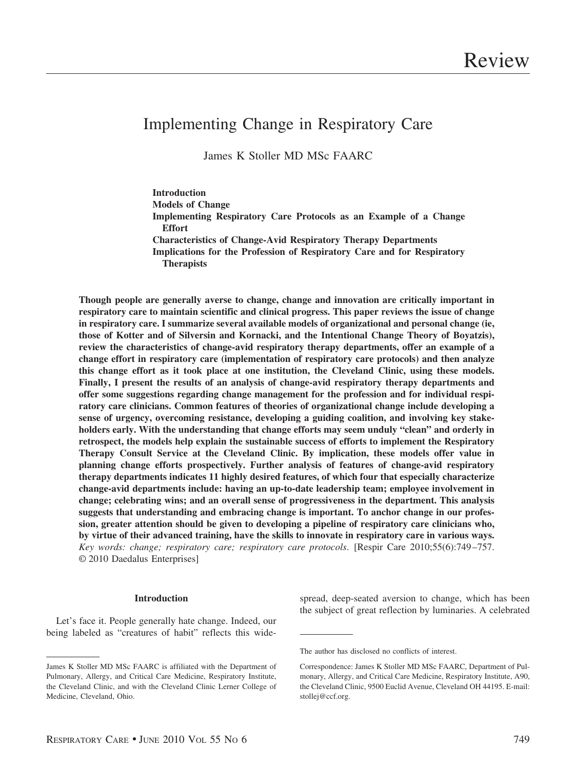# Implementing Change in Respiratory Care

James K Stoller MD MSc FAARC

**Introduction Models of Change Implementing Respiratory Care Protocols as an Example of a Change Effort Characteristics of Change-Avid Respiratory Therapy Departments Implications for the Profession of Respiratory Care and for Respiratory Therapists**

**Though people are generally averse to change, change and innovation are critically important in respiratory care to maintain scientific and clinical progress. This paper reviews the issue of change in respiratory care. I summarize several available models of organizational and personal change (ie, those of Kotter and of Silversin and Kornacki, and the Intentional Change Theory of Boyatzis), review the characteristics of change-avid respiratory therapy departments, offer an example of a change effort in respiratory care (implementation of respiratory care protocols) and then analyze this change effort as it took place at one institution, the Cleveland Clinic, using these models. Finally, I present the results of an analysis of change-avid respiratory therapy departments and offer some suggestions regarding change management for the profession and for individual respiratory care clinicians. Common features of theories of organizational change include developing a sense of urgency, overcoming resistance, developing a guiding coalition, and involving key stakeholders early. With the understanding that change efforts may seem unduly "clean" and orderly in retrospect, the models help explain the sustainable success of efforts to implement the Respiratory Therapy Consult Service at the Cleveland Clinic. By implication, these models offer value in planning change efforts prospectively. Further analysis of features of change-avid respiratory therapy departments indicates 11 highly desired features, of which four that especially characterize change-avid departments include: having an up-to-date leadership team; employee involvement in change; celebrating wins; and an overall sense of progressiveness in the department. This analysis suggests that understanding and embracing change is important. To anchor change in our profession, greater attention should be given to developing a pipeline of respiratory care clinicians who, by virtue of their advanced training, have the skills to innovate in respiratory care in various ways.** *Key words: change; respiratory care; respiratory care protocols*. [Respir Care 2010;55(6):749 –757. © 2010 Daedalus Enterprises]

## **Introduction**

Let's face it. People generally hate change. Indeed, our being labeled as "creatures of habit" reflects this widespread, deep-seated aversion to change, which has been the subject of great reflection by luminaries. A celebrated

James K Stoller MD MSc FAARC is affiliated with the Department of Pulmonary, Allergy, and Critical Care Medicine, Respiratory Institute, the Cleveland Clinic, and with the Cleveland Clinic Lerner College of Medicine, Cleveland, Ohio.

The author has disclosed no conflicts of interest.

Correspondence: James K Stoller MD MSc FAARC, Department of Pulmonary, Allergy, and Critical Care Medicine, Respiratory Institute, A90, the Cleveland Clinic, 9500 Euclid Avenue, Cleveland OH 44195. E-mail: stollej@ccf.org.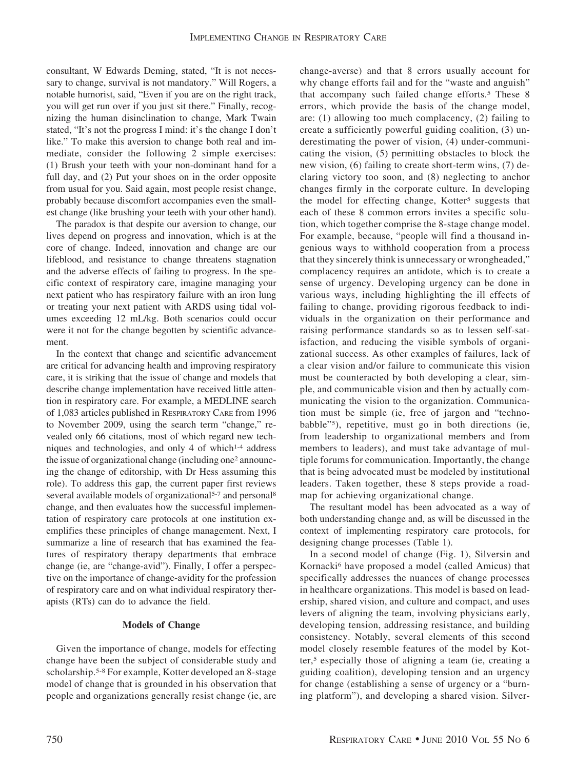consultant, W Edwards Deming, stated, "It is not necessary to change, survival is not mandatory." Will Rogers, a notable humorist, said, "Even if you are on the right track, you will get run over if you just sit there." Finally, recognizing the human disinclination to change, Mark Twain stated, "It's not the progress I mind: it's the change I don't like." To make this aversion to change both real and immediate, consider the following 2 simple exercises: (1) Brush your teeth with your non-dominant hand for a full day, and (2) Put your shoes on in the order opposite from usual for you. Said again, most people resist change, probably because discomfort accompanies even the smallest change (like brushing your teeth with your other hand).

The paradox is that despite our aversion to change, our lives depend on progress and innovation, which is at the core of change. Indeed, innovation and change are our lifeblood, and resistance to change threatens stagnation and the adverse effects of failing to progress. In the specific context of respiratory care, imagine managing your next patient who has respiratory failure with an iron lung or treating your next patient with ARDS using tidal volumes exceeding 12 mL/kg. Both scenarios could occur were it not for the change begotten by scientific advancement.

In the context that change and scientific advancement are critical for advancing health and improving respiratory care, it is striking that the issue of change and models that describe change implementation have received little attention in respiratory care. For example, a MEDLINE search of 1,083 articles published in RESPIRATORY CARE from 1996 to November 2009, using the search term "change," revealed only 66 citations, most of which regard new techniques and technologies, and only 4 of which<sup>1-4</sup> address the issue of organizational change (including one2 announcing the change of editorship, with Dr Hess assuming this role). To address this gap, the current paper first reviews several available models of organizational<sup>5-7</sup> and personal<sup>8</sup> change, and then evaluates how the successful implementation of respiratory care protocols at one institution exemplifies these principles of change management. Next, I summarize a line of research that has examined the features of respiratory therapy departments that embrace change (ie, are "change-avid"). Finally, I offer a perspective on the importance of change-avidity for the profession of respiratory care and on what individual respiratory therapists (RTs) can do to advance the field.

#### **Models of Change**

Given the importance of change, models for effecting change have been the subject of considerable study and scholarship.5-8 For example, Kotter developed an 8-stage model of change that is grounded in his observation that people and organizations generally resist change (ie, are

change-averse) and that 8 errors usually account for why change efforts fail and for the "waste and anguish" that accompany such failed change efforts.5 These 8 errors, which provide the basis of the change model, are: (1) allowing too much complacency, (2) failing to create a sufficiently powerful guiding coalition, (3) underestimating the power of vision, (4) under-communicating the vision, (5) permitting obstacles to block the new vision, (6) failing to create short-term wins, (7) declaring victory too soon, and (8) neglecting to anchor changes firmly in the corporate culture. In developing the model for effecting change, Kotter<sup>5</sup> suggests that each of these 8 common errors invites a specific solution, which together comprise the 8-stage change model. For example, because, "people will find a thousand ingenious ways to withhold cooperation from a process that they sincerely think is unnecessary or wrongheaded," complacency requires an antidote, which is to create a sense of urgency. Developing urgency can be done in various ways, including highlighting the ill effects of failing to change, providing rigorous feedback to individuals in the organization on their performance and raising performance standards so as to lessen self-satisfaction, and reducing the visible symbols of organizational success. As other examples of failures, lack of a clear vision and/or failure to communicate this vision must be counteracted by both developing a clear, simple, and communicable vision and then by actually communicating the vision to the organization. Communication must be simple (ie, free of jargon and "technobabble"5), repetitive, must go in both directions (ie, from leadership to organizational members and from members to leaders), and must take advantage of multiple forums for communication. Importantly, the change that is being advocated must be modeled by institutional leaders. Taken together, these 8 steps provide a roadmap for achieving organizational change.

The resultant model has been advocated as a way of both understanding change and, as will be discussed in the context of implementing respiratory care protocols, for designing change processes (Table 1).

In a second model of change (Fig. 1), Silversin and Kornacki<sup>6</sup> have proposed a model (called Amicus) that specifically addresses the nuances of change processes in healthcare organizations. This model is based on leadership, shared vision, and culture and compact, and uses levers of aligning the team, involving physicians early, developing tension, addressing resistance, and building consistency. Notably, several elements of this second model closely resemble features of the model by Kotter,<sup>5</sup> especially those of aligning a team (ie, creating a guiding coalition), developing tension and an urgency for change (establishing a sense of urgency or a "burning platform"), and developing a shared vision. Silver-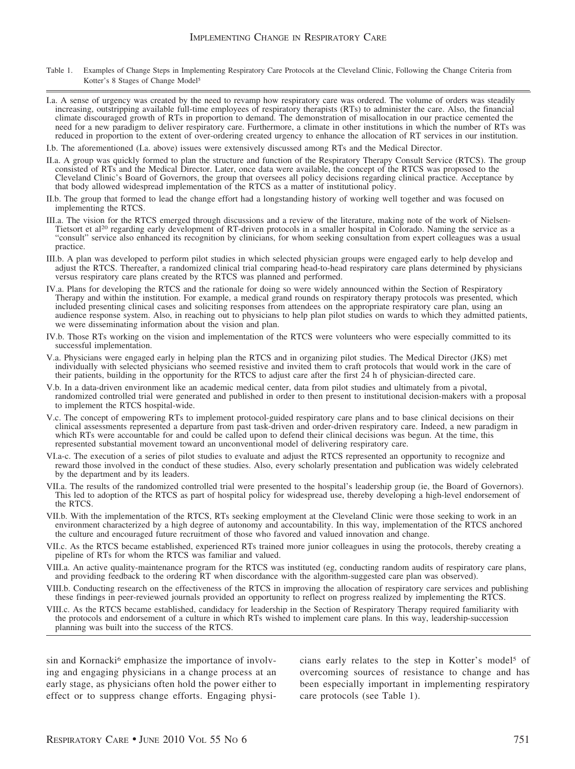- Table 1. Examples of Change Steps in Implementing Respiratory Care Protocols at the Cleveland Clinic, Following the Change Criteria from Kotter's 8 Stages of Change Model5
- I.a. A sense of urgency was created by the need to revamp how respiratory care was ordered. The volume of orders was steadily increasing, outstripping available full-time employees of respiratory therapists (RTs) to administer the care. Also, the financial climate discouraged growth of RTs in proportion to demand. The demonstration of misallocation in our practice cemented the need for a new paradigm to deliver respiratory care. Furthermore, a climate in other institutions in which the number of RTs was reduced in proportion to the extent of over-ordering created urgency to enhance the allocation of RT services in our institution.
- I.b. The aforementioned (I.a. above) issues were extensively discussed among RTs and the Medical Director.
- II.a. A group was quickly formed to plan the structure and function of the Respiratory Therapy Consult Service (RTCS). The group consisted of RTs and the Medical Director. Later, once data were available, the concept of the RTCS was proposed to the Cleveland Clinic's Board of Governors, the group that oversees all policy decisions regarding clinical practice. Acceptance by that body allowed widespread implementation of the RTCS as a matter of institutional policy.
- II.b. The group that formed to lead the change effort had a longstanding history of working well together and was focused on implementing the RTCS.
- III.a. The vision for the RTCS emerged through discussions and a review of the literature, making note of the work of Nielsen-Tietsort et al<sup>20</sup> regarding early development of RT-driven protocols in a smaller hospital in Colorado. Naming the service as a "consult" service also enhanced its recognition by clinicians, for whom seeking consultation from expert colleagues was a usual practice.
- III.b. A plan was developed to perform pilot studies in which selected physician groups were engaged early to help develop and adjust the RTCS. Thereafter, a randomized clinical trial comparing head-to-head respiratory care plans determined by physicians versus respiratory care plans created by the RTCS was planned and performed.
- IV.a. Plans for developing the RTCS and the rationale for doing so were widely announced within the Section of Respiratory Therapy and within the institution. For example, a medical grand rounds on respiratory therapy protocols was presented, which included presenting clinical cases and soliciting responses from attendees on the appropriate respiratory care plan, using an audience response system. Also, in reaching out to physicians to help plan pilot studies on wards to which they admitted patients, we were disseminating information about the vision and plan.
- IV.b. Those RTs working on the vision and implementation of the RTCS were volunteers who were especially committed to its successful implementation.
- V.a. Physicians were engaged early in helping plan the RTCS and in organizing pilot studies. The Medical Director (JKS) met individually with selected physicians who seemed resistive and invited them to craft protocols that would work in the care of their patients, building in the opportunity for the RTCS to adjust care after the first 24 h of physician-directed care.
- V.b. In a data-driven environment like an academic medical center, data from pilot studies and ultimately from a pivotal, randomized controlled trial were generated and published in order to then present to institutional decision-makers with a proposal to implement the RTCS hospital-wide.
- V.c. The concept of empowering RTs to implement protocol-guided respiratory care plans and to base clinical decisions on their clinical assessments represented a departure from past task-driven and order-driven respiratory care. Indeed, a new paradigm in which RTs were accountable for and could be called upon to defend their clinical decisions was begun. At the time, this represented substantial movement toward an unconventional model of delivering respiratory care.
- VI.a-c. The execution of a series of pilot studies to evaluate and adjust the RTCS represented an opportunity to recognize and reward those involved in the conduct of these studies. Also, every scholarly presentation and publication was widely celebrated by the department and by its leaders.
- VII.a. The results of the randomized controlled trial were presented to the hospital's leadership group (ie, the Board of Governors). This led to adoption of the RTCS as part of hospital policy for widespread use, thereby developing a high-level endorsement of the RTCS.
- VII.b. With the implementation of the RTCS, RTs seeking employment at the Cleveland Clinic were those seeking to work in an environment characterized by a high degree of autonomy and accountability. In this way, implementation of the RTCS anchored the culture and encouraged future recruitment of those who favored and valued innovation and change.
- VII.c. As the RTCS became established, experienced RTs trained more junior colleagues in using the protocols, thereby creating a pipeline of RTs for whom the RTCS was familiar and valued.
- VIII.a. An active quality-maintenance program for the RTCS was instituted (eg, conducting random audits of respiratory care plans, and providing feedback to the ordering RT when discordance with the algorithm-suggested care plan was observed).
- VIII.b. Conducting research on the effectiveness of the RTCS in improving the allocation of respiratory care services and publishing these findings in peer-reviewed journals provided an opportunity to reflect on progress realized by implementing the RTCS.
- VIII.c. As the RTCS became established, candidacy for leadership in the Section of Respiratory Therapy required familiarity with the protocols and endorsement of a culture in which RTs wished to implement care plans. In this way, leadership-succession planning was built into the success of the RTCS.

sin and Kornacki<sup>6</sup> emphasize the importance of involving and engaging physicians in a change process at an early stage, as physicians often hold the power either to effect or to suppress change efforts. Engaging physi-

cians early relates to the step in Kotter's model<sup>5</sup> of overcoming sources of resistance to change and has been especially important in implementing respiratory care protocols (see Table 1).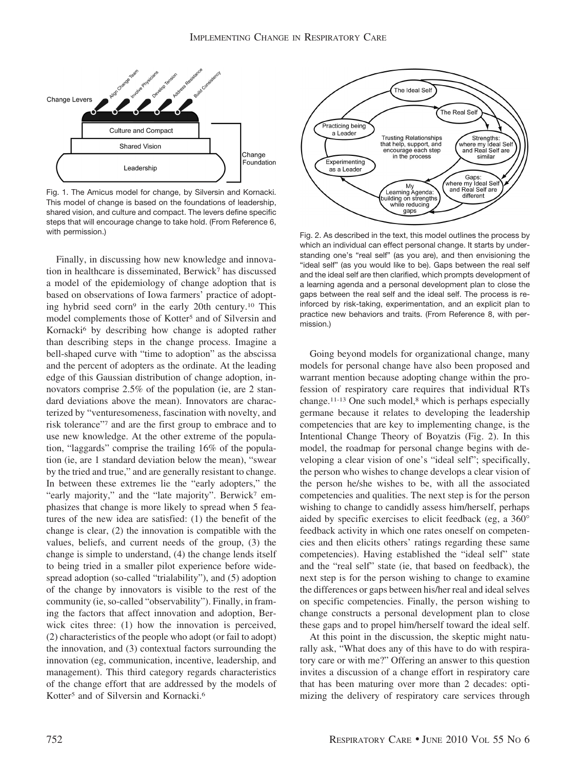

Fig. 1. The Amicus model for change, by Silversin and Kornacki. This model of change is based on the foundations of leadership, shared vision, and culture and compact. The levers define specific steps that will encourage change to take hold. (From Reference 6, with permission.) Tig. 2. As described in the text, this model outlines the process by

Finally, in discussing how new knowledge and innovation in healthcare is disseminated, Berwick7 has discussed a model of the epidemiology of change adoption that is based on observations of Iowa farmers' practice of adopting hybrid seed corn9 in the early 20th century.10 This model complements those of Kotter<sup>5</sup> and of Silversin and Kornacki<sup>6</sup> by describing how change is adopted rather than describing steps in the change process. Imagine a bell-shaped curve with "time to adoption" as the abscissa and the percent of adopters as the ordinate. At the leading edge of this Gaussian distribution of change adoption, innovators comprise 2.5% of the population (ie, are 2 standard deviations above the mean). Innovators are characterized by "venturesomeness, fascination with novelty, and risk tolerance"7 and are the first group to embrace and to use new knowledge. At the other extreme of the population, "laggards" comprise the trailing 16% of the population (ie, are 1 standard deviation below the mean), "swear by the tried and true," and are generally resistant to change. In between these extremes lie the "early adopters," the "early majority," and the "late majority". Berwick<sup>7</sup> emphasizes that change is more likely to spread when 5 features of the new idea are satisfied: (1) the benefit of the change is clear, (2) the innovation is compatible with the values, beliefs, and current needs of the group, (3) the change is simple to understand, (4) the change lends itself to being tried in a smaller pilot experience before widespread adoption (so-called "trialability"), and (5) adoption of the change by innovators is visible to the rest of the community (ie, so-called "observability"). Finally, in framing the factors that affect innovation and adoption, Berwick cites three: (1) how the innovation is perceived, (2) characteristics of the people who adopt (or fail to adopt) the innovation, and (3) contextual factors surrounding the innovation (eg, communication, incentive, leadership, and management). This third category regards characteristics of the change effort that are addressed by the models of Kotter<sup>5</sup> and of Silversin and Kornacki.<sup>6</sup>



which an individual can effect personal change. It starts by understanding one's "real self" (as you are), and then envisioning the "ideal self" (as you would like to be). Gaps between the real self and the ideal self are then clarified, which prompts development of a learning agenda and a personal development plan to close the gaps between the real self and the ideal self. The process is reinforced by risk-taking, experimentation, and an explicit plan to practice new behaviors and traits. (From Reference 8, with permission.)

Going beyond models for organizational change, many models for personal change have also been proposed and warrant mention because adopting change within the profession of respiratory care requires that individual RTs change.<sup>11-13</sup> One such model,<sup>8</sup> which is perhaps especially germane because it relates to developing the leadership competencies that are key to implementing change, is the Intentional Change Theory of Boyatzis (Fig. 2). In this model, the roadmap for personal change begins with developing a clear vision of one's "ideal self"; specifically, the person who wishes to change develops a clear vision of the person he/she wishes to be, with all the associated competencies and qualities. The next step is for the person wishing to change to candidly assess him/herself, perhaps aided by specific exercises to elicit feedback (eg, a 360° feedback activity in which one rates oneself on competencies and then elicits others' ratings regarding these same competencies). Having established the "ideal self" state and the "real self" state (ie, that based on feedback), the next step is for the person wishing to change to examine the differences or gaps between his/her real and ideal selves on specific competencies. Finally, the person wishing to change constructs a personal development plan to close these gaps and to propel him/herself toward the ideal self.

At this point in the discussion, the skeptic might naturally ask, "What does any of this have to do with respiratory care or with me?" Offering an answer to this question invites a discussion of a change effort in respiratory care that has been maturing over more than 2 decades: optimizing the delivery of respiratory care services through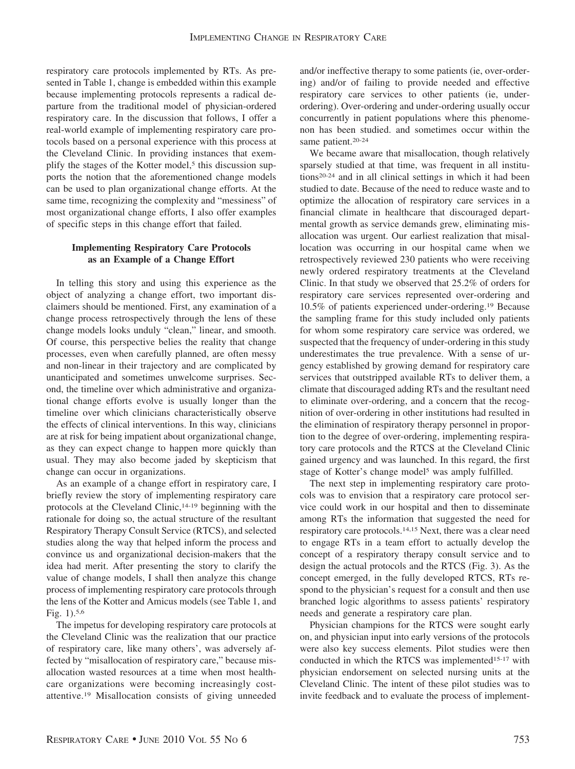respiratory care protocols implemented by RTs. As presented in Table 1, change is embedded within this example because implementing protocols represents a radical departure from the traditional model of physician-ordered respiratory care. In the discussion that follows, I offer a real-world example of implementing respiratory care protocols based on a personal experience with this process at the Cleveland Clinic. In providing instances that exemplify the stages of the Kotter model,<sup>5</sup> this discussion supports the notion that the aforementioned change models can be used to plan organizational change efforts. At the same time, recognizing the complexity and "messiness" of most organizational change efforts, I also offer examples of specific steps in this change effort that failed.

# **Implementing Respiratory Care Protocols as an Example of a Change Effort**

In telling this story and using this experience as the object of analyzing a change effort, two important disclaimers should be mentioned. First, any examination of a change process retrospectively through the lens of these change models looks unduly "clean," linear, and smooth. Of course, this perspective belies the reality that change processes, even when carefully planned, are often messy and non-linear in their trajectory and are complicated by unanticipated and sometimes unwelcome surprises. Second, the timeline over which administrative and organizational change efforts evolve is usually longer than the timeline over which clinicians characteristically observe the effects of clinical interventions. In this way, clinicians are at risk for being impatient about organizational change, as they can expect change to happen more quickly than usual. They may also become jaded by skepticism that change can occur in organizations.

As an example of a change effort in respiratory care, I briefly review the story of implementing respiratory care protocols at the Cleveland Clinic,14-19 beginning with the rationale for doing so, the actual structure of the resultant Respiratory Therapy Consult Service (RTCS), and selected studies along the way that helped inform the process and convince us and organizational decision-makers that the idea had merit. After presenting the story to clarify the value of change models, I shall then analyze this change process of implementing respiratory care protocols through the lens of the Kotter and Amicus models (see Table 1, and Fig. 1).5,6

The impetus for developing respiratory care protocols at the Cleveland Clinic was the realization that our practice of respiratory care, like many others', was adversely affected by "misallocation of respiratory care," because misallocation wasted resources at a time when most healthcare organizations were becoming increasingly costattentive.19 Misallocation consists of giving unneeded

and/or ineffective therapy to some patients (ie, over-ordering) and/or of failing to provide needed and effective respiratory care services to other patients (ie, underordering). Over-ordering and under-ordering usually occur concurrently in patient populations where this phenomenon has been studied. and sometimes occur within the same patient.<sup>20-24</sup>

We became aware that misallocation, though relatively sparsely studied at that time, was frequent in all institutions20-24 and in all clinical settings in which it had been studied to date. Because of the need to reduce waste and to optimize the allocation of respiratory care services in a financial climate in healthcare that discouraged departmental growth as service demands grew, eliminating misallocation was urgent. Our earliest realization that misallocation was occurring in our hospital came when we retrospectively reviewed 230 patients who were receiving newly ordered respiratory treatments at the Cleveland Clinic. In that study we observed that 25.2% of orders for respiratory care services represented over-ordering and 10.5% of patients experienced under-ordering.19 Because the sampling frame for this study included only patients for whom some respiratory care service was ordered, we suspected that the frequency of under-ordering in this study underestimates the true prevalence. With a sense of urgency established by growing demand for respiratory care services that outstripped available RTs to deliver them, a climate that discouraged adding RTs and the resultant need to eliminate over-ordering, and a concern that the recognition of over-ordering in other institutions had resulted in the elimination of respiratory therapy personnel in proportion to the degree of over-ordering, implementing respiratory care protocols and the RTCS at the Cleveland Clinic gained urgency and was launched. In this regard, the first stage of Kotter's change model<sup>5</sup> was amply fulfilled.

The next step in implementing respiratory care protocols was to envision that a respiratory care protocol service could work in our hospital and then to disseminate among RTs the information that suggested the need for respiratory care protocols.14,15 Next, there was a clear need to engage RTs in a team effort to actually develop the concept of a respiratory therapy consult service and to design the actual protocols and the RTCS (Fig. 3). As the concept emerged, in the fully developed RTCS, RTs respond to the physician's request for a consult and then use branched logic algorithms to assess patients' respiratory needs and generate a respiratory care plan.

Physician champions for the RTCS were sought early on, and physician input into early versions of the protocols were also key success elements. Pilot studies were then conducted in which the RTCS was implemented15-17 with physician endorsement on selected nursing units at the Cleveland Clinic. The intent of these pilot studies was to invite feedback and to evaluate the process of implement-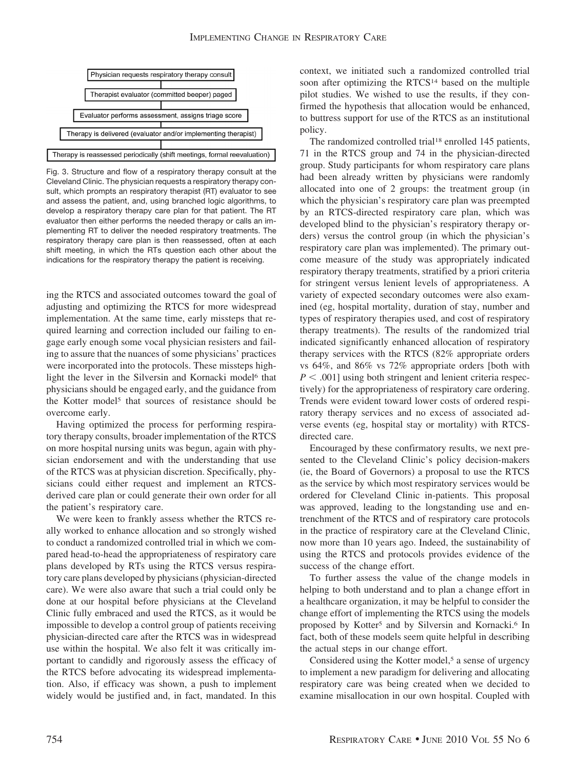

Fig. 3. Structure and flow of a respiratory therapy consult at the Cleveland Clinic. The physician requests a respiratory therapy consult, which prompts an respiratory therapist (RT) evaluator to see and assess the patient, and, using branched logic algorithms, to develop a respiratory therapy care plan for that patient. The RT evaluator then either performs the needed therapy or calls an implementing RT to deliver the needed respiratory treatments. The respiratory therapy care plan is then reassessed, often at each shift meeting, in which the RTs question each other about the indications for the respiratory therapy the patient is receiving.

ing the RTCS and associated outcomes toward the goal of adjusting and optimizing the RTCS for more widespread implementation. At the same time, early missteps that required learning and correction included our failing to engage early enough some vocal physician resisters and failing to assure that the nuances of some physicians' practices were incorporated into the protocols. These missteps highlight the lever in the Silversin and Kornacki model<sup>6</sup> that physicians should be engaged early, and the guidance from the Kotter model<sup>5</sup> that sources of resistance should be overcome early.

Having optimized the process for performing respiratory therapy consults, broader implementation of the RTCS on more hospital nursing units was begun, again with physician endorsement and with the understanding that use of the RTCS was at physician discretion. Specifically, physicians could either request and implement an RTCSderived care plan or could generate their own order for all the patient's respiratory care.

We were keen to frankly assess whether the RTCS really worked to enhance allocation and so strongly wished to conduct a randomized controlled trial in which we compared head-to-head the appropriateness of respiratory care plans developed by RTs using the RTCS versus respiratory care plans developed by physicians (physician-directed care). We were also aware that such a trial could only be done at our hospital before physicians at the Cleveland Clinic fully embraced and used the RTCS, as it would be impossible to develop a control group of patients receiving physician-directed care after the RTCS was in widespread use within the hospital. We also felt it was critically important to candidly and rigorously assess the efficacy of the RTCS before advocating its widespread implementation. Also, if efficacy was shown, a push to implement widely would be justified and, in fact, mandated. In this context, we initiated such a randomized controlled trial soon after optimizing the RTCS<sup>14</sup> based on the multiple pilot studies. We wished to use the results, if they confirmed the hypothesis that allocation would be enhanced, to buttress support for use of the RTCS as an institutional policy.

The randomized controlled trial<sup>18</sup> enrolled 145 patients, 71 in the RTCS group and 74 in the physician-directed group. Study participants for whom respiratory care plans had been already written by physicians were randomly allocated into one of 2 groups: the treatment group (in which the physician's respiratory care plan was preempted by an RTCS-directed respiratory care plan, which was developed blind to the physician's respiratory therapy orders) versus the control group (in which the physician's respiratory care plan was implemented). The primary outcome measure of the study was appropriately indicated respiratory therapy treatments, stratified by a priori criteria for stringent versus lenient levels of appropriateness. A variety of expected secondary outcomes were also examined (eg, hospital mortality, duration of stay, number and types of respiratory therapies used, and cost of respiratory therapy treatments). The results of the randomized trial indicated significantly enhanced allocation of respiratory therapy services with the RTCS (82% appropriate orders vs 64%, and 86% vs 72% appropriate orders [both with  $P < .001$ ] using both stringent and lenient criteria respectively) for the appropriateness of respiratory care ordering. Trends were evident toward lower costs of ordered respiratory therapy services and no excess of associated adverse events (eg, hospital stay or mortality) with RTCSdirected care.

Encouraged by these confirmatory results, we next presented to the Cleveland Clinic's policy decision-makers (ie, the Board of Governors) a proposal to use the RTCS as the service by which most respiratory services would be ordered for Cleveland Clinic in-patients. This proposal was approved, leading to the longstanding use and entrenchment of the RTCS and of respiratory care protocols in the practice of respiratory care at the Cleveland Clinic, now more than 10 years ago. Indeed, the sustainability of using the RTCS and protocols provides evidence of the success of the change effort.

To further assess the value of the change models in helping to both understand and to plan a change effort in a healthcare organization, it may be helpful to consider the change effort of implementing the RTCS using the models proposed by Kotter<sup>5</sup> and by Silversin and Kornacki.<sup>6</sup> In fact, both of these models seem quite helpful in describing the actual steps in our change effort.

Considered using the Kotter model,<sup>5</sup> a sense of urgency to implement a new paradigm for delivering and allocating respiratory care was being created when we decided to examine misallocation in our own hospital. Coupled with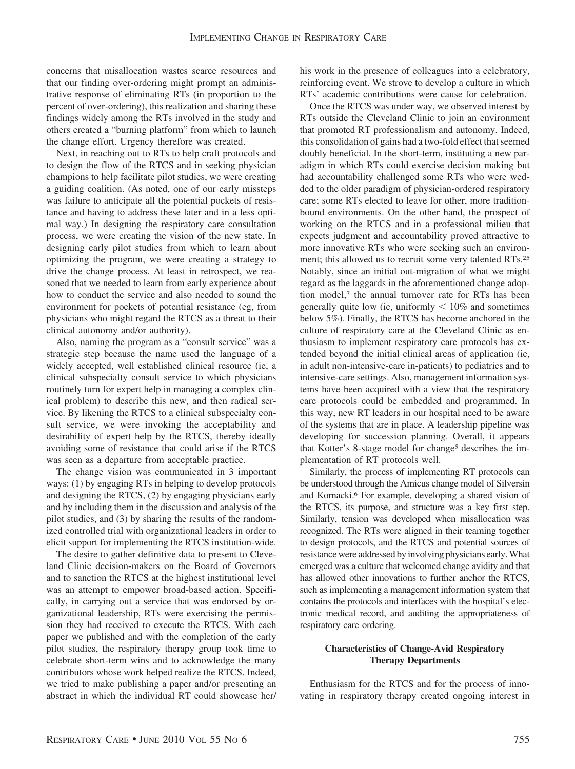concerns that misallocation wastes scarce resources and that our finding over-ordering might prompt an administrative response of eliminating RTs (in proportion to the percent of over-ordering), this realization and sharing these findings widely among the RTs involved in the study and others created a "burning platform" from which to launch the change effort. Urgency therefore was created.

Next, in reaching out to RTs to help craft protocols and to design the flow of the RTCS and in seeking physician champions to help facilitate pilot studies, we were creating a guiding coalition. (As noted, one of our early missteps was failure to anticipate all the potential pockets of resistance and having to address these later and in a less optimal way.) In designing the respiratory care consultation process, we were creating the vision of the new state. In designing early pilot studies from which to learn about optimizing the program, we were creating a strategy to drive the change process. At least in retrospect, we reasoned that we needed to learn from early experience about how to conduct the service and also needed to sound the environment for pockets of potential resistance (eg, from physicians who might regard the RTCS as a threat to their clinical autonomy and/or authority).

Also, naming the program as a "consult service" was a strategic step because the name used the language of a widely accepted, well established clinical resource (ie, a clinical subspecialty consult service to which physicians routinely turn for expert help in managing a complex clinical problem) to describe this new, and then radical service. By likening the RTCS to a clinical subspecialty consult service, we were invoking the acceptability and desirability of expert help by the RTCS, thereby ideally avoiding some of resistance that could arise if the RTCS was seen as a departure from acceptable practice.

The change vision was communicated in 3 important ways: (1) by engaging RTs in helping to develop protocols and designing the RTCS, (2) by engaging physicians early and by including them in the discussion and analysis of the pilot studies, and (3) by sharing the results of the randomized controlled trial with organizational leaders in order to elicit support for implementing the RTCS institution-wide.

The desire to gather definitive data to present to Cleveland Clinic decision-makers on the Board of Governors and to sanction the RTCS at the highest institutional level was an attempt to empower broad-based action. Specifically, in carrying out a service that was endorsed by organizational leadership, RTs were exercising the permission they had received to execute the RTCS. With each paper we published and with the completion of the early pilot studies, the respiratory therapy group took time to celebrate short-term wins and to acknowledge the many contributors whose work helped realize the RTCS. Indeed, we tried to make publishing a paper and/or presenting an abstract in which the individual RT could showcase her/ his work in the presence of colleagues into a celebratory, reinforcing event. We strove to develop a culture in which RTs' academic contributions were cause for celebration.

Once the RTCS was under way, we observed interest by RTs outside the Cleveland Clinic to join an environment that promoted RT professionalism and autonomy. Indeed, this consolidation of gains had a two-fold effect that seemed doubly beneficial. In the short-term, instituting a new paradigm in which RTs could exercise decision making but had accountability challenged some RTs who were wedded to the older paradigm of physician-ordered respiratory care; some RTs elected to leave for other, more traditionbound environments. On the other hand, the prospect of working on the RTCS and in a professional milieu that expects judgment and accountability proved attractive to more innovative RTs who were seeking such an environment; this allowed us to recruit some very talented RTs.25 Notably, since an initial out-migration of what we might regard as the laggards in the aforementioned change adoption model,<sup>7</sup> the annual turnover rate for RTs has been generally quite low (ie, uniformly  $\lt 10\%$  and sometimes below 5%). Finally, the RTCS has become anchored in the culture of respiratory care at the Cleveland Clinic as enthusiasm to implement respiratory care protocols has extended beyond the initial clinical areas of application (ie, in adult non-intensive-care in-patients) to pediatrics and to intensive-care settings. Also, management information systems have been acquired with a view that the respiratory care protocols could be embedded and programmed. In this way, new RT leaders in our hospital need to be aware of the systems that are in place. A leadership pipeline was developing for succession planning. Overall, it appears that Kotter's 8-stage model for change<sup>5</sup> describes the implementation of RT protocols well.

Similarly, the process of implementing RT protocols can be understood through the Amicus change model of Silversin and Kornacki.6 For example, developing a shared vision of the RTCS, its purpose, and structure was a key first step. Similarly, tension was developed when misallocation was recognized. The RTs were aligned in their teaming together to design protocols, and the RTCS and potential sources of resistance were addressed by involving physicians early.What emerged was a culture that welcomed change avidity and that has allowed other innovations to further anchor the RTCS, such as implementing a management information system that contains the protocols and interfaces with the hospital's electronic medical record, and auditing the appropriateness of respiratory care ordering.

# **Characteristics of Change-Avid Respiratory Therapy Departments**

Enthusiasm for the RTCS and for the process of innovating in respiratory therapy created ongoing interest in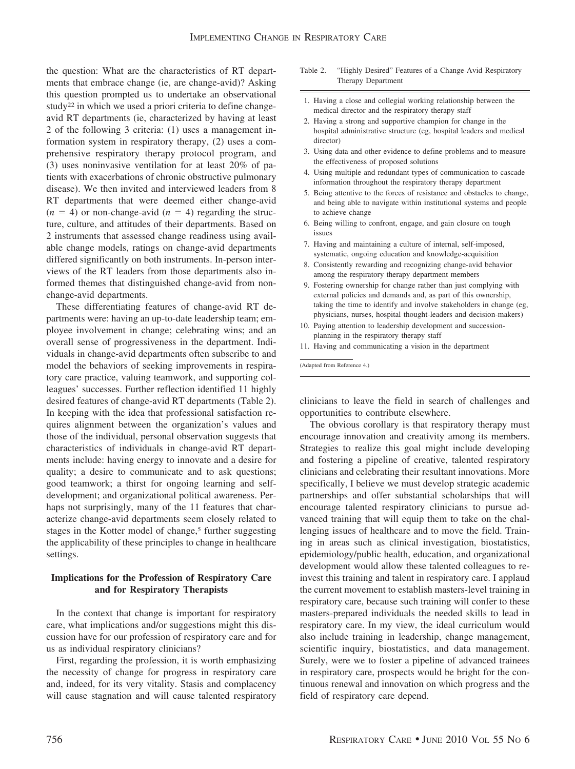the question: What are the characteristics of RT departments that embrace change (ie, are change-avid)? Asking this question prompted us to undertake an observational study<sup>22</sup> in which we used a priori criteria to define changeavid RT departments (ie, characterized by having at least 2 of the following 3 criteria: (1) uses a management information system in respiratory therapy, (2) uses a comprehensive respiratory therapy protocol program, and (3) uses noninvasive ventilation for at least 20% of patients with exacerbations of chronic obstructive pulmonary disease). We then invited and interviewed leaders from 8 RT departments that were deemed either change-avid  $(n = 4)$  or non-change-avid  $(n = 4)$  regarding the structure, culture, and attitudes of their departments. Based on 2 instruments that assessed change readiness using available change models, ratings on change-avid departments differed significantly on both instruments. In-person interviews of the RT leaders from those departments also informed themes that distinguished change-avid from nonchange-avid departments.

These differentiating features of change-avid RT departments were: having an up-to-date leadership team; employee involvement in change; celebrating wins; and an overall sense of progressiveness in the department. Individuals in change-avid departments often subscribe to and model the behaviors of seeking improvements in respiratory care practice, valuing teamwork, and supporting colleagues' successes. Further reflection identified 11 highly desired features of change-avid RT departments (Table 2). In keeping with the idea that professional satisfaction requires alignment between the organization's values and those of the individual, personal observation suggests that characteristics of individuals in change-avid RT departments include: having energy to innovate and a desire for quality; a desire to communicate and to ask questions; good teamwork; a thirst for ongoing learning and selfdevelopment; and organizational political awareness. Perhaps not surprisingly, many of the 11 features that characterize change-avid departments seem closely related to stages in the Kotter model of change,<sup>5</sup> further suggesting the applicability of these principles to change in healthcare settings.

### **Implications for the Profession of Respiratory Care and for Respiratory Therapists**

In the context that change is important for respiratory care, what implications and/or suggestions might this discussion have for our profession of respiratory care and for us as individual respiratory clinicians?

First, regarding the profession, it is worth emphasizing the necessity of change for progress in respiratory care and, indeed, for its very vitality. Stasis and complacency will cause stagnation and will cause talented respiratory

- Table 2. "Highly Desired" Features of a Change-Avid Respiratory Therapy Department
- 1. Having a close and collegial working relationship between the medical director and the respiratory therapy staff
- 2. Having a strong and supportive champion for change in the hospital administrative structure (eg, hospital leaders and medical director)
- 3. Using data and other evidence to define problems and to measure the effectiveness of proposed solutions
- 4. Using multiple and redundant types of communication to cascade information throughout the respiratory therapy department
- 5. Being attentive to the forces of resistance and obstacles to change, and being able to navigate within institutional systems and people to achieve change
- 6. Being willing to confront, engage, and gain closure on tough issues
- 7. Having and maintaining a culture of internal, self-imposed, systematic, ongoing education and knowledge-acquisition
- 8. Consistently rewarding and recognizing change-avid behavior among the respiratory therapy department members
- 9. Fostering ownership for change rather than just complying with external policies and demands and, as part of this ownership, taking the time to identify and involve stakeholders in change (eg, physicians, nurses, hospital thought-leaders and decision-makers)
- 10. Paying attention to leadership development and successionplanning in the respiratory therapy staff
- 11. Having and communicating a vision in the department

(Adapted from Reference 4.)

clinicians to leave the field in search of challenges and opportunities to contribute elsewhere.

The obvious corollary is that respiratory therapy must encourage innovation and creativity among its members. Strategies to realize this goal might include developing and fostering a pipeline of creative, talented respiratory clinicians and celebrating their resultant innovations. More specifically, I believe we must develop strategic academic partnerships and offer substantial scholarships that will encourage talented respiratory clinicians to pursue advanced training that will equip them to take on the challenging issues of healthcare and to move the field. Training in areas such as clinical investigation, biostatistics, epidemiology/public health, education, and organizational development would allow these talented colleagues to reinvest this training and talent in respiratory care. I applaud the current movement to establish masters-level training in respiratory care, because such training will confer to these masters-prepared individuals the needed skills to lead in respiratory care. In my view, the ideal curriculum would also include training in leadership, change management, scientific inquiry, biostatistics, and data management. Surely, were we to foster a pipeline of advanced trainees in respiratory care, prospects would be bright for the continuous renewal and innovation on which progress and the field of respiratory care depend.